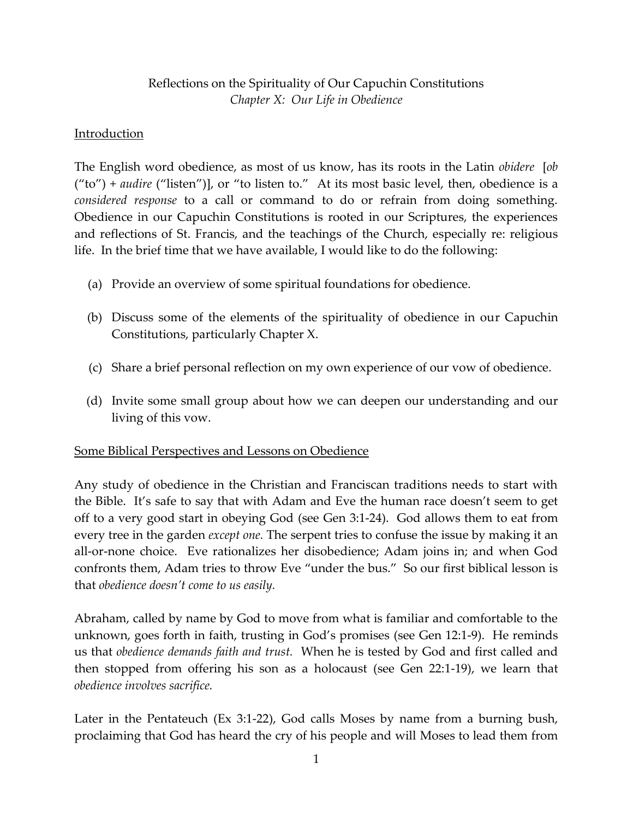# Reflections on the Spirituality of Our Capuchin Constitutions *Chapter X: Our Life in Obedience*

## Introduction

The English word obedience, as most of us know, has its roots in the Latin *obidere* [*ob*  ("to") + *audire* ("listen")], or "to listen to." At its most basic level, then, obedience is a *considered response* to a call or command to do or refrain from doing something. Obedience in our Capuchin Constitutions is rooted in our Scriptures, the experiences and reflections of St. Francis, and the teachings of the Church, especially re: religious life. In the brief time that we have available, I would like to do the following:

- (a) Provide an overview of some spiritual foundations for obedience.
- (b) Discuss some of the elements of the spirituality of obedience in our Capuchin Constitutions, particularly Chapter X.
- (c) Share a brief personal reflection on my own experience of our vow of obedience.
- (d) Invite some small group about how we can deepen our understanding and our living of this vow.

## Some Biblical Perspectives and Lessons on Obedience

Any study of obedience in the Christian and Franciscan traditions needs to start with the Bible. It's safe to say that with Adam and Eve the human race doesn't seem to get off to a very good start in obeying God (see Gen 3:1-24). God allows them to eat from every tree in the garden *except one.* The serpent tries to confuse the issue by making it an all-or-none choice. Eve rationalizes her disobedience; Adam joins in; and when God confronts them, Adam tries to throw Eve "under the bus." So our first biblical lesson is that *obedience doesn't come to us easily.*

Abraham, called by name by God to move from what is familiar and comfortable to the unknown, goes forth in faith, trusting in God's promises (see Gen 12:1-9). He reminds us that *obedience demands faith and trust.* When he is tested by God and first called and then stopped from offering his son as a holocaust (see Gen 22:1-19), we learn that *obedience involves sacrifice.* 

Later in the Pentateuch (Ex 3:1-22), God calls Moses by name from a burning bush, proclaiming that God has heard the cry of his people and will Moses to lead them from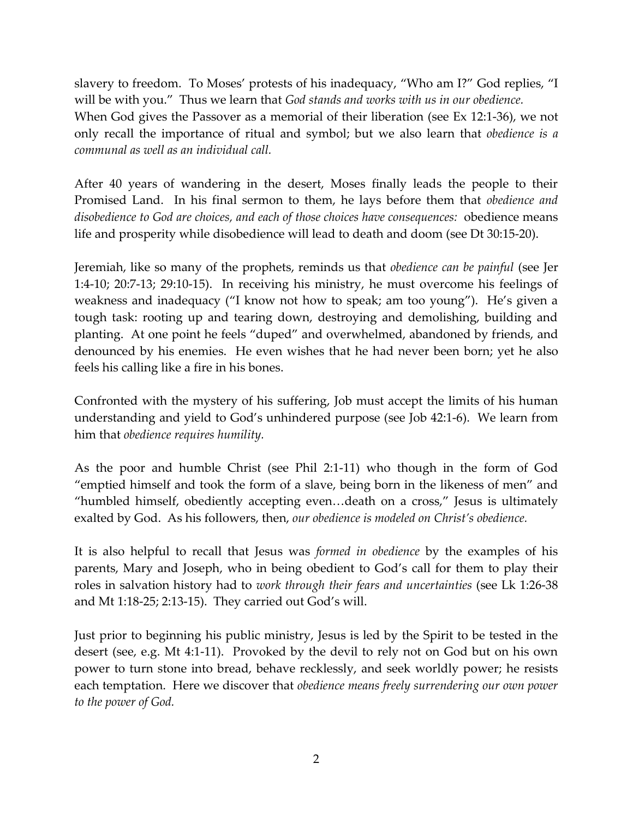slavery to freedom. To Moses' protests of his inadequacy, "Who am I?" God replies, "I will be with you." Thus we learn that *God stands and works with us in our obedience.* When God gives the Passover as a memorial of their liberation (see Ex 12:1-36), we not only recall the importance of ritual and symbol; but we also learn that *obedience is a communal as well as an individual call.*

After 40 years of wandering in the desert, Moses finally leads the people to their Promised Land. In his final sermon to them, he lays before them that *obedience and disobedience to God are choices, and each of those choices have consequences:* obedience means life and prosperity while disobedience will lead to death and doom (see Dt 30:15-20).

Jeremiah, like so many of the prophets, reminds us that *obedience can be painful* (see Jer 1:4-10; 20:7-13; 29:10-15). In receiving his ministry, he must overcome his feelings of weakness and inadequacy ("I know not how to speak; am too young"). He's given a tough task: rooting up and tearing down, destroying and demolishing, building and planting. At one point he feels "duped" and overwhelmed, abandoned by friends, and denounced by his enemies. He even wishes that he had never been born; yet he also feels his calling like a fire in his bones.

Confronted with the mystery of his suffering, Job must accept the limits of his human understanding and yield to God's unhindered purpose (see Job 42:1-6). We learn from him that *obedience requires humility.*

As the poor and humble Christ (see Phil 2:1-11) who though in the form of God "emptied himself and took the form of a slave, being born in the likeness of men" and "humbled himself, obediently accepting even…death on a cross," Jesus is ultimately exalted by God. As his followers, then, *our obedience is modeled on Christ's obedience.* 

It is also helpful to recall that Jesus was *formed in obedience* by the examples of his parents, Mary and Joseph, who in being obedient to God's call for them to play their roles in salvation history had to *work through their fears and uncertainties* (see Lk 1:26-38 and Mt 1:18-25; 2:13-15). They carried out God's will.

Just prior to beginning his public ministry, Jesus is led by the Spirit to be tested in the desert (see, e.g. Mt 4:1-11). Provoked by the devil to rely not on God but on his own power to turn stone into bread, behave recklessly, and seek worldly power; he resists each temptation. Here we discover that *obedience means freely surrendering our own power to the power of God.*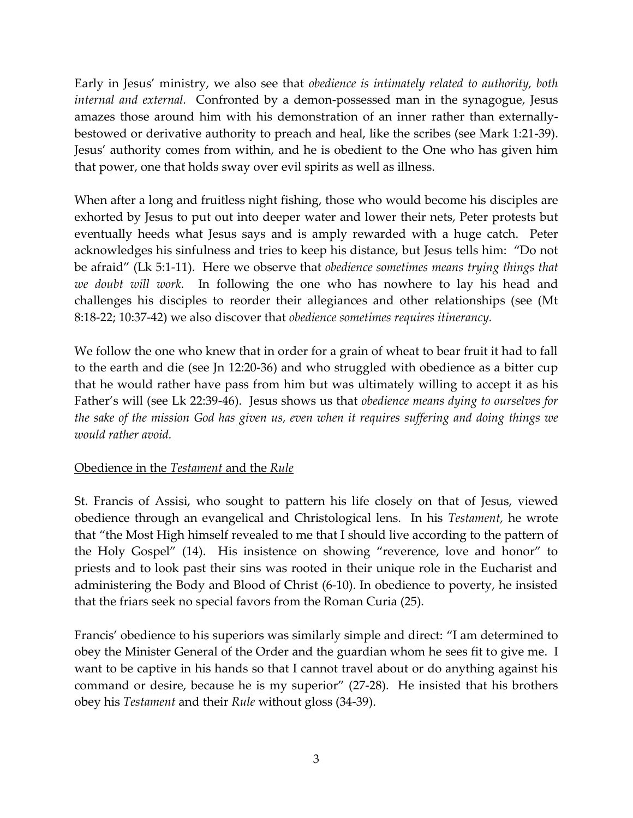Early in Jesus' ministry, we also see that *obedience is intimately related to authority, both internal and external.* Confronted by a demon-possessed man in the synagogue, Jesus amazes those around him with his demonstration of an inner rather than externallybestowed or derivative authority to preach and heal, like the scribes (see Mark 1:21-39). Jesus' authority comes from within, and he is obedient to the One who has given him that power, one that holds sway over evil spirits as well as illness.

When after a long and fruitless night fishing, those who would become his disciples are exhorted by Jesus to put out into deeper water and lower their nets, Peter protests but eventually heeds what Jesus says and is amply rewarded with a huge catch. Peter acknowledges his sinfulness and tries to keep his distance, but Jesus tells him: "Do not be afraid" (Lk 5:1-11). Here we observe that *obedience sometimes means trying things that we doubt will work.* In following the one who has nowhere to lay his head and challenges his disciples to reorder their allegiances and other relationships (see (Mt 8:18-22; 10:37-42) we also discover that *obedience sometimes requires itinerancy.*

We follow the one who knew that in order for a grain of wheat to bear fruit it had to fall to the earth and die (see Jn 12:20-36) and who struggled with obedience as a bitter cup that he would rather have pass from him but was ultimately willing to accept it as his Father's will (see Lk 22:39-46). Jesus shows us that *obedience means dying to ourselves for the sake of the mission God has given us, even when it requires suffering and doing things we would rather avoid.*

#### Obedience in the *Testament* and the *Rule*

St. Francis of Assisi, who sought to pattern his life closely on that of Jesus, viewed obedience through an evangelical and Christological lens. In his *Testament,* he wrote that "the Most High himself revealed to me that I should live according to the pattern of the Holy Gospel" (14). His insistence on showing "reverence, love and honor" to priests and to look past their sins was rooted in their unique role in the Eucharist and administering the Body and Blood of Christ (6-10). In obedience to poverty, he insisted that the friars seek no special favors from the Roman Curia (25).

Francis' obedience to his superiors was similarly simple and direct: "I am determined to obey the Minister General of the Order and the guardian whom he sees fit to give me. I want to be captive in his hands so that I cannot travel about or do anything against his command or desire, because he is my superior" (27-28). He insisted that his brothers obey his *Testament* and their *Rule* without gloss (34-39).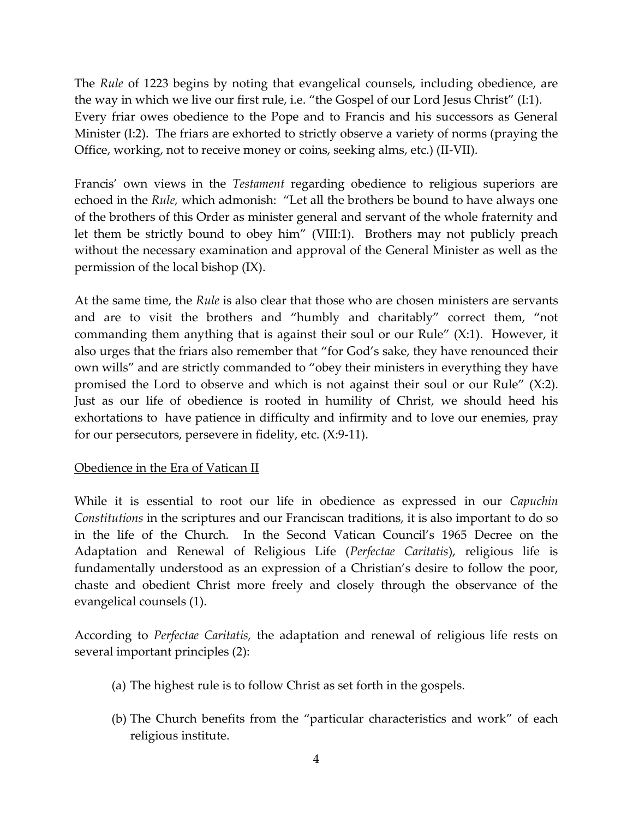The *Rule* of 1223 begins by noting that evangelical counsels, including obedience, are the way in which we live our first rule, i.e. "the Gospel of our Lord Jesus Christ" (I:1). Every friar owes obedience to the Pope and to Francis and his successors as General Minister (I:2). The friars are exhorted to strictly observe a variety of norms (praying the Office, working, not to receive money or coins, seeking alms, etc.) (II-VII).

Francis' own views in the *Testament* regarding obedience to religious superiors are echoed in the *Rule,* which admonish: "Let all the brothers be bound to have always one of the brothers of this Order as minister general and servant of the whole fraternity and let them be strictly bound to obey him" (VIII:1). Brothers may not publicly preach without the necessary examination and approval of the General Minister as well as the permission of the local bishop (IX).

At the same time, the *Rule* is also clear that those who are chosen ministers are servants and are to visit the brothers and "humbly and charitably" correct them, "not commanding them anything that is against their soul or our Rule" (X:1). However, it also urges that the friars also remember that "for God's sake, they have renounced their own wills" and are strictly commanded to "obey their ministers in everything they have promised the Lord to observe and which is not against their soul or our Rule" (X:2). Just as our life of obedience is rooted in humility of Christ, we should heed his exhortations to have patience in difficulty and infirmity and to love our enemies, pray for our persecutors, persevere in fidelity, etc. (X:9-11).

## Obedience in the Era of Vatican II

While it is essential to root our life in obedience as expressed in our *Capuchin Constitutions* in the scriptures and our Franciscan traditions, it is also important to do so in the life of the Church. In the Second Vatican Council's 1965 Decree on the Adaptation and Renewal of Religious Life (*Perfectae Caritatis*), religious life is fundamentally understood as an expression of a Christian's desire to follow the poor, chaste and obedient Christ more freely and closely through the observance of the evangelical counsels (1).

According to *Perfectae Caritatis,* the adaptation and renewal of religious life rests on several important principles (2):

- (a) The highest rule is to follow Christ as set forth in the gospels.
- (b) The Church benefits from the "particular characteristics and work" of each religious institute.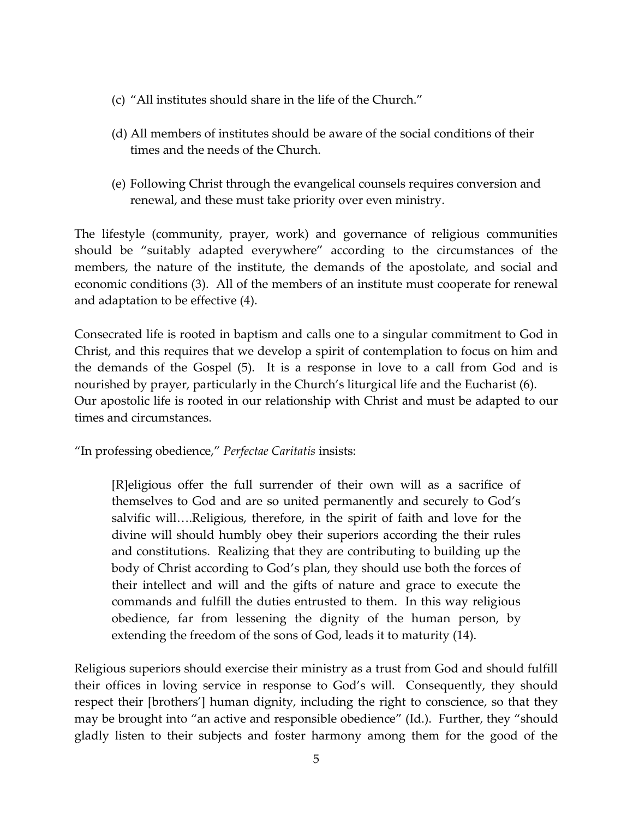- (c) "All institutes should share in the life of the Church."
- (d) All members of institutes should be aware of the social conditions of their times and the needs of the Church.
- (e) Following Christ through the evangelical counsels requires conversion and renewal, and these must take priority over even ministry.

The lifestyle (community, prayer, work) and governance of religious communities should be "suitably adapted everywhere" according to the circumstances of the members, the nature of the institute, the demands of the apostolate, and social and economic conditions (3). All of the members of an institute must cooperate for renewal and adaptation to be effective (4).

Consecrated life is rooted in baptism and calls one to a singular commitment to God in Christ, and this requires that we develop a spirit of contemplation to focus on him and the demands of the Gospel (5). It is a response in love to a call from God and is nourished by prayer, particularly in the Church's liturgical life and the Eucharist (6). Our apostolic life is rooted in our relationship with Christ and must be adapted to our times and circumstances.

"In professing obedience," *Perfectae Caritatis* insists:

[R]eligious offer the full surrender of their own will as a sacrifice of themselves to God and are so united permanently and securely to God's salvific will….Religious, therefore, in the spirit of faith and love for the divine will should humbly obey their superiors according the their rules and constitutions. Realizing that they are contributing to building up the body of Christ according to God's plan, they should use both the forces of their intellect and will and the gifts of nature and grace to execute the commands and fulfill the duties entrusted to them. In this way religious obedience, far from lessening the dignity of the human person, by extending the freedom of the sons of God, leads it to maturity (14).

Religious superiors should exercise their ministry as a trust from God and should fulfill their offices in loving service in response to God's will. Consequently, they should respect their [brothers'] human dignity, including the right to conscience, so that they may be brought into "an active and responsible obedience" (Id.). Further, they "should gladly listen to their subjects and foster harmony among them for the good of the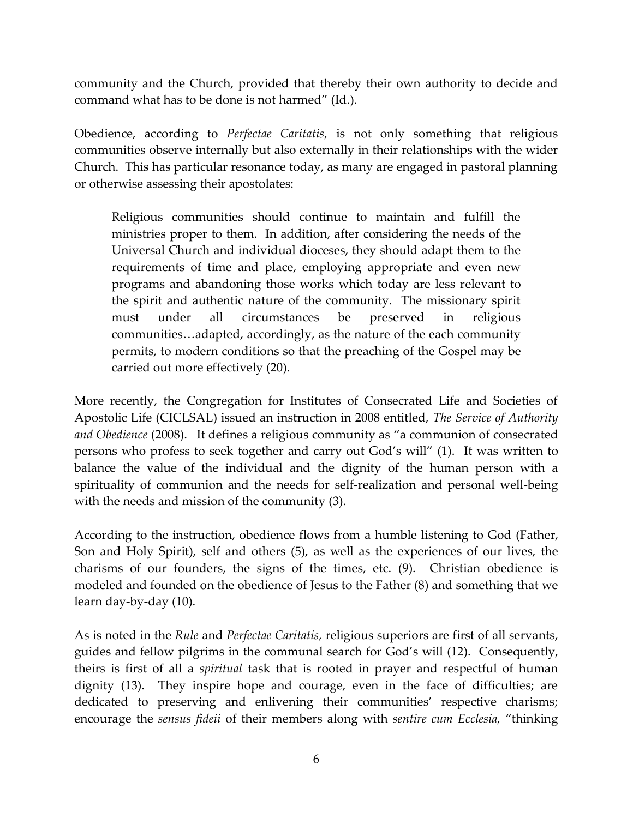community and the Church, provided that thereby their own authority to decide and command what has to be done is not harmed" (Id.).

Obedience, according to *Perfectae Caritatis,* is not only something that religious communities observe internally but also externally in their relationships with the wider Church. This has particular resonance today, as many are engaged in pastoral planning or otherwise assessing their apostolates:

Religious communities should continue to maintain and fulfill the ministries proper to them. In addition, after considering the needs of the Universal Church and individual dioceses, they should adapt them to the requirements of time and place, employing appropriate and even new programs and abandoning those works which today are less relevant to the spirit and authentic nature of the community. The missionary spirit must under all circumstances be preserved in religious communities…adapted, accordingly, as the nature of the each community permits, to modern conditions so that the preaching of the Gospel may be carried out more effectively (20).

More recently, the Congregation for Institutes of Consecrated Life and Societies of Apostolic Life (CICLSAL) issued an instruction in 2008 entitled, *The Service of Authority and Obedience* (2008). It defines a religious community as "a communion of consecrated persons who profess to seek together and carry out God's will" (1). It was written to balance the value of the individual and the dignity of the human person with a spirituality of communion and the needs for self-realization and personal well-being with the needs and mission of the community (3).

According to the instruction, obedience flows from a humble listening to God (Father, Son and Holy Spirit), self and others (5), as well as the experiences of our lives, the charisms of our founders, the signs of the times, etc. (9). Christian obedience is modeled and founded on the obedience of Jesus to the Father (8) and something that we learn day-by-day (10).

As is noted in the *Rule* and *Perfectae Caritatis,* religious superiors are first of all servants, guides and fellow pilgrims in the communal search for God's will (12). Consequently, theirs is first of all a *spiritual* task that is rooted in prayer and respectful of human dignity (13). They inspire hope and courage, even in the face of difficulties; are dedicated to preserving and enlivening their communities' respective charisms; encourage the *sensus fideii* of their members along with *sentire cum Ecclesia,* "thinking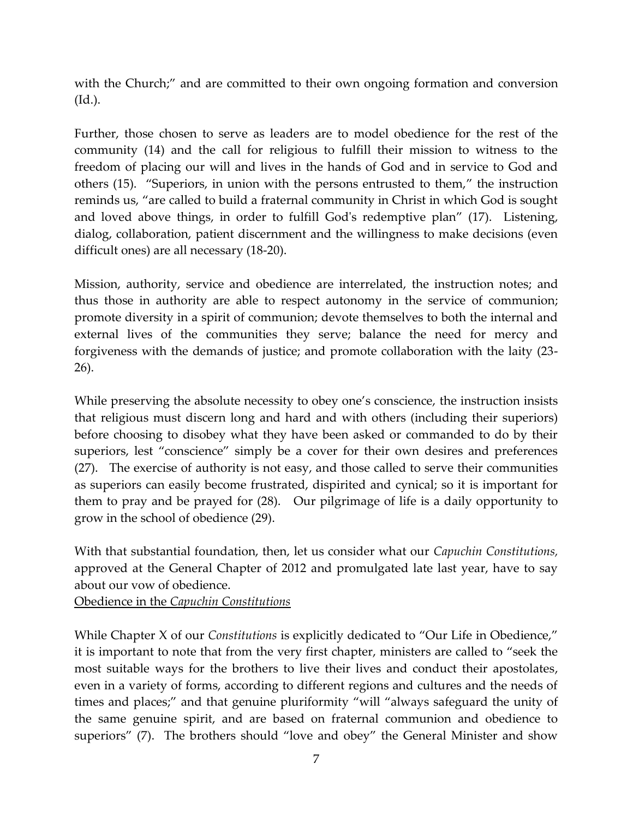with the Church;" and are committed to their own ongoing formation and conversion (Id.).

Further, those chosen to serve as leaders are to model obedience for the rest of the community (14) and the call for religious to fulfill their mission to witness to the freedom of placing our will and lives in the hands of God and in service to God and others (15). "Superiors, in union with the persons entrusted to them," the instruction reminds us, "are called to build a fraternal community in Christ in which God is sought and loved above things, in order to fulfill God's redemptive plan" (17). Listening, dialog, collaboration, patient discernment and the willingness to make decisions (even difficult ones) are all necessary (18-20).

Mission, authority, service and obedience are interrelated, the instruction notes; and thus those in authority are able to respect autonomy in the service of communion; promote diversity in a spirit of communion; devote themselves to both the internal and external lives of the communities they serve; balance the need for mercy and forgiveness with the demands of justice; and promote collaboration with the laity (23- 26).

While preserving the absolute necessity to obey one's conscience, the instruction insists that religious must discern long and hard and with others (including their superiors) before choosing to disobey what they have been asked or commanded to do by their superiors, lest "conscience" simply be a cover for their own desires and preferences (27). The exercise of authority is not easy, and those called to serve their communities as superiors can easily become frustrated, dispirited and cynical; so it is important for them to pray and be prayed for (28). Our pilgrimage of life is a daily opportunity to grow in the school of obedience (29).

With that substantial foundation, then, let us consider what our *Capuchin Constitutions,*  approved at the General Chapter of 2012 and promulgated late last year, have to say about our vow of obedience.

Obedience in the *Capuchin Constitutions*

While Chapter X of our *Constitutions* is explicitly dedicated to "Our Life in Obedience," it is important to note that from the very first chapter, ministers are called to "seek the most suitable ways for the brothers to live their lives and conduct their apostolates, even in a variety of forms, according to different regions and cultures and the needs of times and places;" and that genuine pluriformity "will "always safeguard the unity of the same genuine spirit, and are based on fraternal communion and obedience to superiors" (7). The brothers should "love and obey" the General Minister and show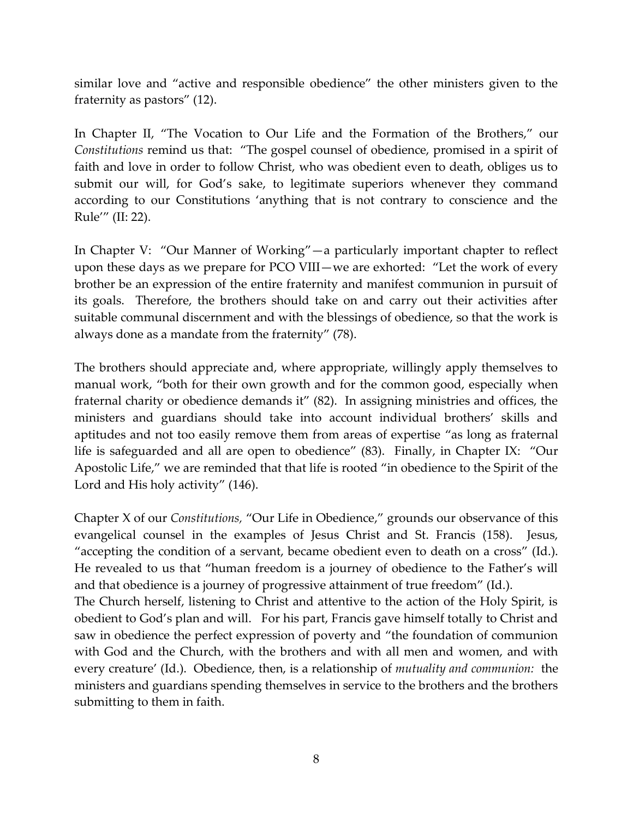similar love and "active and responsible obedience" the other ministers given to the fraternity as pastors" (12).

In Chapter II, "The Vocation to Our Life and the Formation of the Brothers," our *Constitutions* remind us that: "The gospel counsel of obedience, promised in a spirit of faith and love in order to follow Christ, who was obedient even to death, obliges us to submit our will, for God's sake, to legitimate superiors whenever they command according to our Constitutions 'anything that is not contrary to conscience and the Rule'" (II: 22).

In Chapter V: "Our Manner of Working"—a particularly important chapter to reflect upon these days as we prepare for PCO VIII—we are exhorted: "Let the work of every brother be an expression of the entire fraternity and manifest communion in pursuit of its goals. Therefore, the brothers should take on and carry out their activities after suitable communal discernment and with the blessings of obedience, so that the work is always done as a mandate from the fraternity" (78).

The brothers should appreciate and, where appropriate, willingly apply themselves to manual work, "both for their own growth and for the common good, especially when fraternal charity or obedience demands it" (82). In assigning ministries and offices, the ministers and guardians should take into account individual brothers' skills and aptitudes and not too easily remove them from areas of expertise "as long as fraternal life is safeguarded and all are open to obedience" (83). Finally, in Chapter IX: "Our Apostolic Life," we are reminded that that life is rooted "in obedience to the Spirit of the Lord and His holy activity" (146).

Chapter X of our *Constitutions,* "Our Life in Obedience," grounds our observance of this evangelical counsel in the examples of Jesus Christ and St. Francis (158). Jesus, "accepting the condition of a servant, became obedient even to death on a cross" (Id.). He revealed to us that "human freedom is a journey of obedience to the Father's will and that obedience is a journey of progressive attainment of true freedom" (Id.).

The Church herself, listening to Christ and attentive to the action of the Holy Spirit, is obedient to God's plan and will. For his part, Francis gave himself totally to Christ and saw in obedience the perfect expression of poverty and "the foundation of communion with God and the Church, with the brothers and with all men and women, and with every creature' (Id.). Obedience, then, is a relationship of *mutuality and communion:* the ministers and guardians spending themselves in service to the brothers and the brothers submitting to them in faith.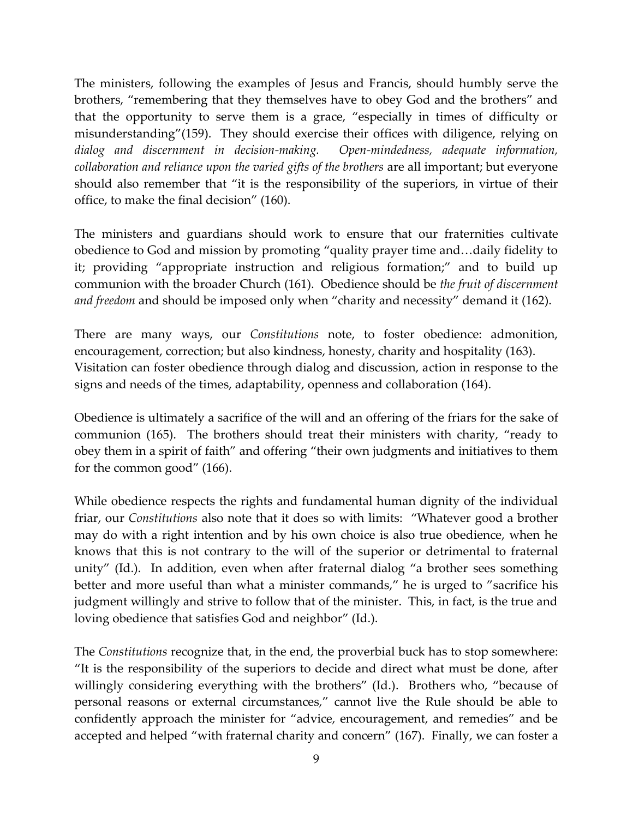The ministers, following the examples of Jesus and Francis, should humbly serve the brothers, "remembering that they themselves have to obey God and the brothers" and that the opportunity to serve them is a grace, "especially in times of difficulty or misunderstanding"(159). They should exercise their offices with diligence, relying on *dialog and discernment in decision-making. Open-mindedness, adequate information, collaboration and reliance upon the varied gifts of the brothers* are all important; but everyone should also remember that "it is the responsibility of the superiors, in virtue of their office, to make the final decision" (160).

The ministers and guardians should work to ensure that our fraternities cultivate obedience to God and mission by promoting "quality prayer time and…daily fidelity to it; providing "appropriate instruction and religious formation;" and to build up communion with the broader Church (161). Obedience should be *the fruit of discernment and freedom* and should be imposed only when "charity and necessity" demand it (162).

There are many ways, our *Constitutions* note, to foster obedience: admonition, encouragement, correction; but also kindness, honesty, charity and hospitality (163). Visitation can foster obedience through dialog and discussion, action in response to the signs and needs of the times, adaptability, openness and collaboration (164).

Obedience is ultimately a sacrifice of the will and an offering of the friars for the sake of communion (165). The brothers should treat their ministers with charity, "ready to obey them in a spirit of faith" and offering "their own judgments and initiatives to them for the common good" (166).

While obedience respects the rights and fundamental human dignity of the individual friar, our *Constitutions* also note that it does so with limits: "Whatever good a brother may do with a right intention and by his own choice is also true obedience, when he knows that this is not contrary to the will of the superior or detrimental to fraternal unity" (Id.). In addition, even when after fraternal dialog "a brother sees something better and more useful than what a minister commands," he is urged to "sacrifice his judgment willingly and strive to follow that of the minister. This, in fact, is the true and loving obedience that satisfies God and neighbor" (Id.).

The *Constitutions* recognize that, in the end, the proverbial buck has to stop somewhere: "It is the responsibility of the superiors to decide and direct what must be done, after willingly considering everything with the brothers" (Id.). Brothers who, "because of personal reasons or external circumstances," cannot live the Rule should be able to confidently approach the minister for "advice, encouragement, and remedies" and be accepted and helped "with fraternal charity and concern" (167). Finally, we can foster a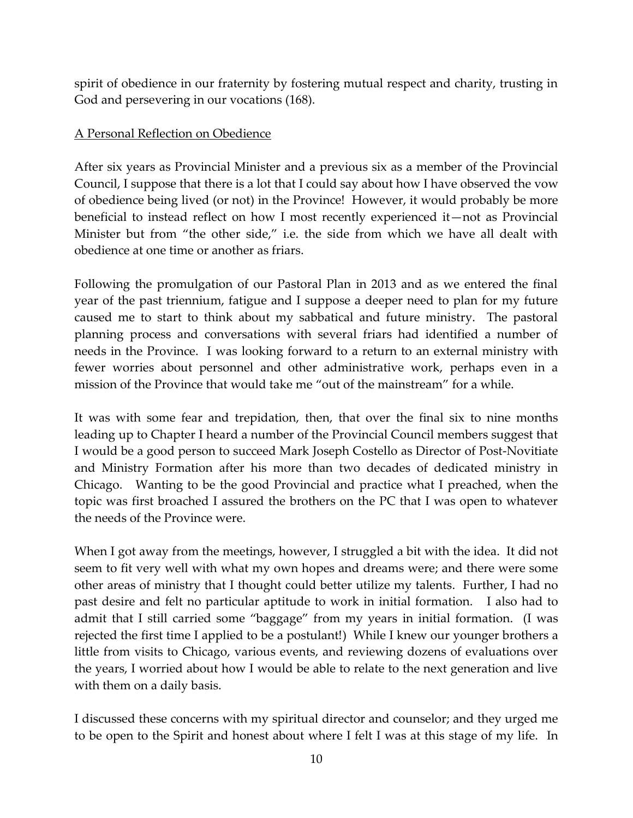spirit of obedience in our fraternity by fostering mutual respect and charity, trusting in God and persevering in our vocations (168).

### A Personal Reflection on Obedience

After six years as Provincial Minister and a previous six as a member of the Provincial Council, I suppose that there is a lot that I could say about how I have observed the vow of obedience being lived (or not) in the Province! However, it would probably be more beneficial to instead reflect on how I most recently experienced it—not as Provincial Minister but from "the other side," i.e. the side from which we have all dealt with obedience at one time or another as friars.

Following the promulgation of our Pastoral Plan in 2013 and as we entered the final year of the past triennium, fatigue and I suppose a deeper need to plan for my future caused me to start to think about my sabbatical and future ministry. The pastoral planning process and conversations with several friars had identified a number of needs in the Province. I was looking forward to a return to an external ministry with fewer worries about personnel and other administrative work, perhaps even in a mission of the Province that would take me "out of the mainstream" for a while.

It was with some fear and trepidation, then, that over the final six to nine months leading up to Chapter I heard a number of the Provincial Council members suggest that I would be a good person to succeed Mark Joseph Costello as Director of Post-Novitiate and Ministry Formation after his more than two decades of dedicated ministry in Chicago. Wanting to be the good Provincial and practice what I preached, when the topic was first broached I assured the brothers on the PC that I was open to whatever the needs of the Province were.

When I got away from the meetings, however, I struggled a bit with the idea. It did not seem to fit very well with what my own hopes and dreams were; and there were some other areas of ministry that I thought could better utilize my talents. Further, I had no past desire and felt no particular aptitude to work in initial formation. I also had to admit that I still carried some "baggage" from my years in initial formation. (I was rejected the first time I applied to be a postulant!) While I knew our younger brothers a little from visits to Chicago, various events, and reviewing dozens of evaluations over the years, I worried about how I would be able to relate to the next generation and live with them on a daily basis.

I discussed these concerns with my spiritual director and counselor; and they urged me to be open to the Spirit and honest about where I felt I was at this stage of my life. In